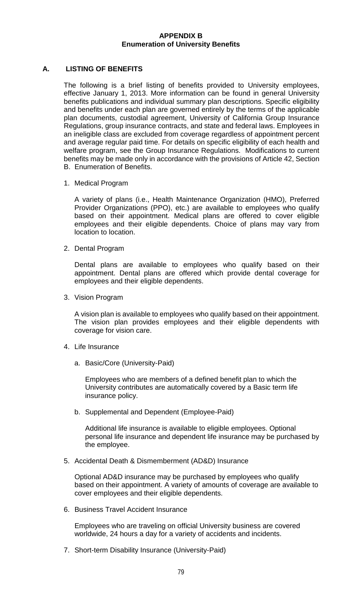## **APPENDIX B Enumeration of University Benefits**

## **A. LISTING OF BENEFITS**

The following is a brief listing of benefits provided to University employees, effective January 1, 2013. More information can be found in general University benefits publications and individual summary plan descriptions. Specific eligibility and benefits under each plan are governed entirely by the terms of the applicable plan documents, custodial agreement, University of California Group Insurance Regulations, group insurance contracts, and state and federal laws. Employees in an ineligible class are excluded from coverage regardless of appointment percent and average regular paid time. For details on specific eligibility of each health and welfare program, see the Group Insurance Regulations. Modifications to current benefits may be made only in accordance with the provisions of Article 42, Section B. Enumeration of Benefits.

1. Medical Program

A variety of plans (i.e., Health Maintenance Organization (HMO), Preferred Provider Organizations (PPO), etc.) are available to employees who qualify based on their appointment. Medical plans are offered to cover eligible employees and their eligible dependents. Choice of plans may vary from location to location.

2. Dental Program

Dental plans are available to employees who qualify based on their appointment. Dental plans are offered which provide dental coverage for employees and their eligible dependents.

3. Vision Program

A vision plan is available to employees who qualify based on their appointment. The vision plan provides employees and their eligible dependents with coverage for vision care.

- 4. Life Insurance
	- a. Basic/Core (University-Paid)

Employees who are members of a defined benefit plan to which the University contributes are automatically covered by a Basic term life insurance policy.

b. Supplemental and Dependent (Employee-Paid)

Additional life insurance is available to eligible employees. Optional personal life insurance and dependent life insurance may be purchased by the employee.

5. Accidental Death & Dismemberment (AD&D) Insurance

Optional AD&D insurance may be purchased by employees who qualify based on their appointment. A variety of amounts of coverage are available to cover employees and their eligible dependents.

6. Business Travel Accident Insurance

Employees who are traveling on official University business are covered worldwide, 24 hours a day for a variety of accidents and incidents.

7. Short-term Disability Insurance (University-Paid)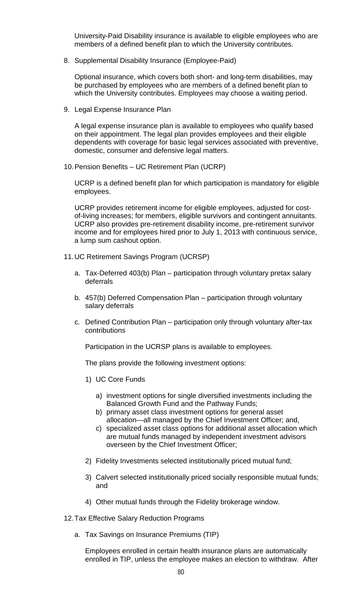University-Paid Disability insurance is available to eligible employees who are members of a defined benefit plan to which the University contributes.

8. Supplemental Disability Insurance (Employee-Paid)

Optional insurance, which covers both short- and long-term disabilities, may be purchased by employees who are members of a defined benefit plan to which the University contributes. Employees may choose a waiting period.

9. Legal Expense Insurance Plan

A legal expense insurance plan is available to employees who qualify based on their appointment. The legal plan provides employees and their eligible dependents with coverage for basic legal services associated with preventive, domestic, consumer and defensive legal matters.

10.Pension Benefits – UC Retirement Plan (UCRP)

UCRP is a defined benefit plan for which participation is mandatory for eligible employees.

UCRP provides retirement income for eligible employees, adjusted for costof-living increases; for members, eligible survivors and contingent annuitants. UCRP also provides pre-retirement disability income, pre-retirement survivor income and for employees hired prior to July 1, 2013 with continuous service, a lump sum cashout option.

- 11.UC Retirement Savings Program (UCRSP)
	- a. Tax-Deferred 403(b) Plan participation through voluntary pretax salary deferrals
	- b. 457(b) Deferred Compensation Plan participation through voluntary salary deferrals
	- c. Defined Contribution Plan participation only through voluntary after-tax contributions

Participation in the UCRSP plans is available to employees.

The plans provide the following investment options:

- 1) UC Core Funds
	- a) investment options for single diversified investments including the Balanced Growth Fund and the Pathway Funds;
	- b) primary asset class investment options for general asset allocation—all managed by the Chief Investment Officer; and,
	- c) specialized asset class options for additional asset allocation which are mutual funds managed by independent investment advisors overseen by the Chief Investment Officer;
- 2) Fidelity Investments selected institutionally priced mutual fund;
- 3) Calvert selected institutionally priced socially responsible mutual funds; and
- 4) Other mutual funds through the Fidelity brokerage window.
- 12.Tax Effective Salary Reduction Programs
	- a. Tax Savings on Insurance Premiums (TIP)

Employees enrolled in certain health insurance plans are automatically enrolled in TIP, unless the employee makes an election to withdraw. After